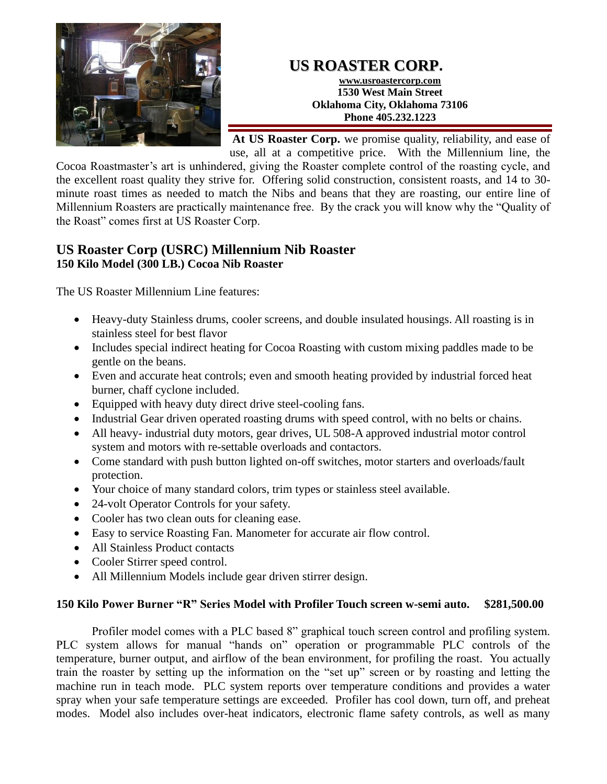

## **US ROASTER CORP.**

**www.usroastercorp.com 1530 West Main Street Oklahoma City, Oklahoma 73106 Phone 405.232.1223**

**At US Roaster Corp.** we promise quality, reliability, and ease of use, all at a competitive price. With the Millennium line, the

Cocoa Roastmaster's art is unhindered, giving the Roaster complete control of the roasting cycle, and the excellent roast quality they strive for. Offering solid construction, consistent roasts, and 14 to 30 minute roast times as needed to match the Nibs and beans that they are roasting, our entire line of Millennium Roasters are practically maintenance free. By the crack you will know why the "Quality of the Roast" comes first at US Roaster Corp.

## **US Roaster Corp (USRC) Millennium Nib Roaster 150 Kilo Model (300 LB.) Cocoa Nib Roaster**

The US Roaster Millennium Line features:

- Heavy-duty Stainless drums, cooler screens, and double insulated housings. All roasting is in stainless steel for best flavor
- Includes special indirect heating for Cocoa Roasting with custom mixing paddles made to be gentle on the beans.
- Even and accurate heat controls; even and smooth heating provided by industrial forced heat burner, chaff cyclone included.
- Equipped with heavy duty direct drive steel-cooling fans.
- Industrial Gear driven operated roasting drums with speed control, with no belts or chains.
- All heavy- industrial duty motors, gear drives, UL 508-A approved industrial motor control system and motors with re-settable overloads and contactors.
- Come standard with push button lighted on-off switches, motor starters and overloads/fault protection.
- Your choice of many standard colors, trim types or stainless steel available.
- 24-volt Operator Controls for your safety.
- Cooler has two clean outs for cleaning ease.
- Easy to service Roasting Fan. Manometer for accurate air flow control.
- All Stainless Product contacts
- Cooler Stirrer speed control.
- All Millennium Models include gear driven stirrer design.

## **150 Kilo Power Burner "R" Series Model with Profiler Touch screen w-semi auto. \$281,500.00**

Profiler model comes with a PLC based 8" graphical touch screen control and profiling system. PLC system allows for manual "hands on" operation or programmable PLC controls of the temperature, burner output, and airflow of the bean environment, for profiling the roast. You actually train the roaster by setting up the information on the "set up" screen or by roasting and letting the machine run in teach mode. PLC system reports over temperature conditions and provides a water spray when your safe temperature settings are exceeded. Profiler has cool down, turn off, and preheat modes. Model also includes over-heat indicators, electronic flame safety controls, as well as many